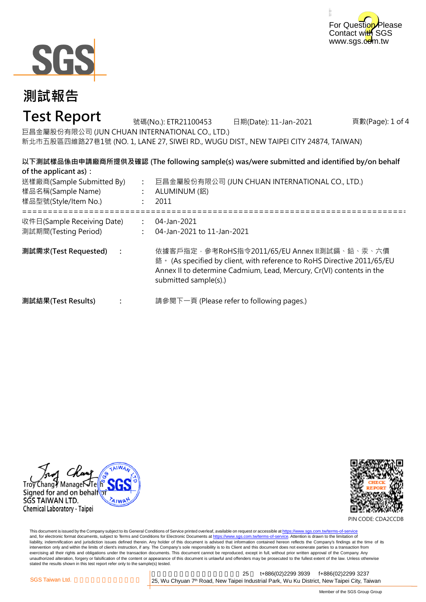



# **Test Report**

頁數(Page): 1 of 4 巨昌金屬股份有限公司 (JUN CHUAN INTERNATIONAL CO., LTD.) 新北市五股區四維路27巷1號 (NO. 1, LANE 27, SIWEI RD., WUGU DIST., NEW TAIPEI CITY 24874, TAIWAN) 號碼(No.): ETR21100453 日期(Date): 11-Jan-2021

**以下測試樣品係由申請廠商所提供及確認 (The following sample(s) was/were submitted and identified by/on behalf of the applicant as):**

| 送樣廠商(Sample Submitted By)<br>樣品名稱(Sample Name)<br>樣品型號(Style/Item No.) | 巨昌金屬股份有限公司 (JUN CHUAN INTERNATIONAL CO., LTD.)<br>ALUMINUM (鋁)<br>2011                                                                                                                                                   |
|------------------------------------------------------------------------|--------------------------------------------------------------------------------------------------------------------------------------------------------------------------------------------------------------------------|
| 收件日(Sample Receiving Date)<br>測試期間(Testing Period)                     | 04-Jan-2021<br>04-Jan-2021 to 11-Jan-2021                                                                                                                                                                                |
| 測試需求(Test Requested)                                                   | 依據客戶指定‧參考RoHS指令2011/65/EU Annex Ⅱ測試鎘、鉛、汞、六價<br>鉻 · (As specified by client, with reference to RoHS Directive 2011/65/EU<br>Annex II to determine Cadmium, Lead, Mercury, Cr(VI) contents in the<br>submitted sample(s).) |
| 測試結果(Test Results)                                                     | 請參閱下一頁 (Please refer to following pages.)                                                                                                                                                                                |





PIN CODE: CDA2CCDB

This document is issued by the Company subject to its General Conditions of Service printed overleaf, available on request or accessible at <u>https://www.sgs.com.tw/terms-of-service</u><br>and, for electronic format documents, su liability, indemnification and jurisdiction issues defined therein. Any holder of this document is advised that information contained hereon reflects the Company's findings at the time of its intervention only and within the limits of client's instruction, if any. The Company's sole responsibility is to its Client and this document does not exonerate parties to a transaction from exercising all their rights and obligations under the transaction documents. This document cannot be reproduced, except in full, without prior written approval of the Company. Any<br>unauthorized alteration, forgery or falsif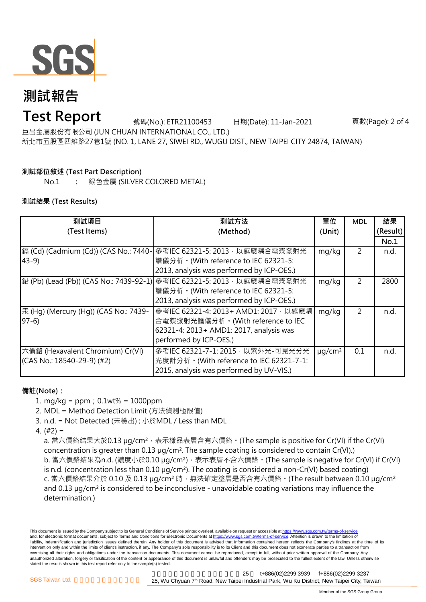

# **Test Report**

號碼(No.): ETR21100453 日期(Date): 11-Jan-2021

頁數(Page): 2 of 4

巨昌金屬股份有限公司 (JUN CHUAN INTERNATIONAL CO., LTD.) 新北市五股區四維路27巷1號 (NO. 1, LANE 27, SIWEI RD., WUGU DIST., NEW TAIPEI CITY 24874, TAIWAN)

### **測試部位敘述 (Test Part Description)**

No.1 **:** 銀色金屬 (SILVER COLORED METAL)

### **測試結果 (Test Results)**

| 測試項目                                  | 測試方法                                                                   | 單位                      | <b>MDL</b> | 結果       |
|---------------------------------------|------------------------------------------------------------------------|-------------------------|------------|----------|
| (Test Items)                          | (Method)                                                               | (Unit)                  |            | (Result) |
|                                       |                                                                        |                         |            | No.1     |
| 鎘 (Cd) (Cadmium (Cd)) (CAS No.: 7440- | 參考IEC 62321-5: 2013, 以感應耦合電漿發射光                                        | mg/kg                   | 2          | n.d.     |
| $43-9$                                | 譜儀分析。(With reference to IEC 62321-5:                                   |                         |            |          |
|                                       | 2013, analysis was performed by ICP-OES.)                              |                         |            |          |
|                                       | 鉛 (Pb) (Lead (Pb)) (CAS No.: 7439-92-1) 參考IEC 62321-5: 2013,以感應耦合電漿發射光 | mg/kg                   | 2          | 2800     |
|                                       | 譜儀分析。(With reference to IEC 62321-5:                                   |                         |            |          |
|                                       | 2013, analysis was performed by ICP-OES.)                              |                         |            |          |
| 汞 (Hg) (Mercury (Hg)) (CAS No.: 7439- | 參考IEC 62321-4: 2013+ AMD1: 2017, 以感應耦                                  | mg/kg                   | 2          | n.d.     |
| $97-6$                                | 合電漿發射光譜儀分析。(With reference to IEC                                      |                         |            |          |
|                                       | 62321-4: 2013+ AMD1: 2017, analysis was                                |                         |            |          |
|                                       | performed by ICP-OES.)                                                 |                         |            |          |
| 六價鉻 (Hexavalent Chromium) Cr(VI)      | 參考IEC 62321-7-1: 2015, 以紫外光-可見光分光                                      | $\mu$ g/cm <sup>2</sup> | 0.1        | n.d.     |
| (CAS No.: 18540-29-9) (#2)            | 光度計分析。(With reference to IEC 62321-7-1:                                |                         |            |          |
|                                       | 2015, analysis was performed by UV-VIS.)                               |                         |            |          |

#### **備註(Note):**

- 1. mg/kg = ppm;0.1wt% = 1000ppm
- 2. MDL = Method Detection Limit (方法偵測極限值)
- 3. n.d. = Not Detected (未檢出) ; 小於MDL / Less than MDL
- 4. (#2) =

a. 當六價鉻結果大於0.13 µg/cm<sup>2,</sup> 表示樣品表層含有六價鉻。(The sample is positive for Cr(VI) if the Cr(VI) concentration is greater than 0.13 µg/cm<sup>2</sup>. The sample coating is considered to contain Cr(VI).) b. 當六價鉻結果為n.d. (濃度小於0.10 μg/cm²),表示表層不含六價鉻。(The sample is negative for Cr(VI) if Cr(VI) is n.d. (concentration less than 0.10 µg/cm²). The coating is considered a non-Cr(VI) based coating) c. 當六價鉻結果介於 0.10 及 0.13 µg/cm² 時,無法確定塗層是否含有六價鉻。(The result between 0.10 µg/cm² and 0.13 µg/cm² is considered to be inconclusive - unavoidable coating variations may influence the determination.)

This document is issued by the Company subject to its General Conditions of Service printed overleaf, available on request or accessible at https://www.sgs.com.tw/terms-of-servic and, for electronic format documents, subject to Terms and Conditions for Electronic Documents at https://www.sgs.com.tw/terms-of-service. Attention is drawn to the limitation of liability, indemnification and jurisdiction issues defined therein. Any holder of this document is advised that information contained hereon reflects the Company's findings at the time of its intervention only and within the limits of client's instruction, if any. The Company's sole responsibility is to its Client and this document does not exonerate parties to a transaction from exercising all their rights and obligations under the transaction documents. This document cannot be reproduced, except in full, without prior written approval of the Company. Any unauthorized alteration, forgery or falsification of the content or appearance of this document is unlawful and offenders may be prosecuted to the fullest extent of the law. Unless otherwise stated the results shown in this test report refer only to the sample(s) tested.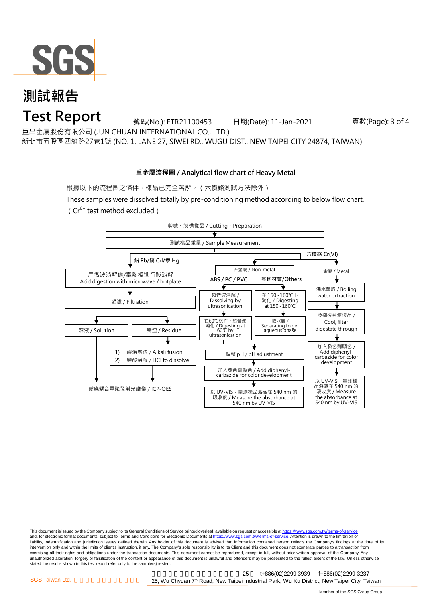

### **Test Report**

號碼(No.): ETR21100453 日期(Date): 11-Jan-2021

頁數(Page): 3 of 4

巨昌金屬股份有限公司 (JUN CHUAN INTERNATIONAL CO., LTD.)

新北市五股區四維路27巷1號 (NO. 1, LANE 27, SIWEI RD., WUGU DIST., NEW TAIPEI CITY 24874, TAIWAN)

### **重金屬流程圖 / Analytical flow chart of Heavy Metal**

根據以下的流程圖之條件,樣品已完全溶解。(六價鉻測試方法除外)

These samples were dissolved totally by pre-conditioning method according to below flow chart.  $(Cr^{6+}$  test method excluded)



This document is issued by the Company subject to its General Conditions of Service printed overleaf, available on request or accessible at https://www.sgs.com.tw/terms-of-service and, for electronic format documents, subject to Terms and Conditions for Electronic Documents at https://www.sgs.com.tw/terms-of-service. Attention is drawn to the limitation of liability, indemnification and jurisdiction issues defined therein. Any holder of this document is advised that information contained hereon reflects the Company's findings at the time of its intervention only and within the limits of client's instruction, if any. The Company's sole responsibility is to its Client and this document does not exonerate parties to a transaction from exercising all their rights and obligations under the transaction documents. This document cannot be reproduced, except in full, without prior written approval of the Company. Any<br>unauthorized alteration, forgery or falsif stated the results shown in this test report refer only to the sample(s) tested.